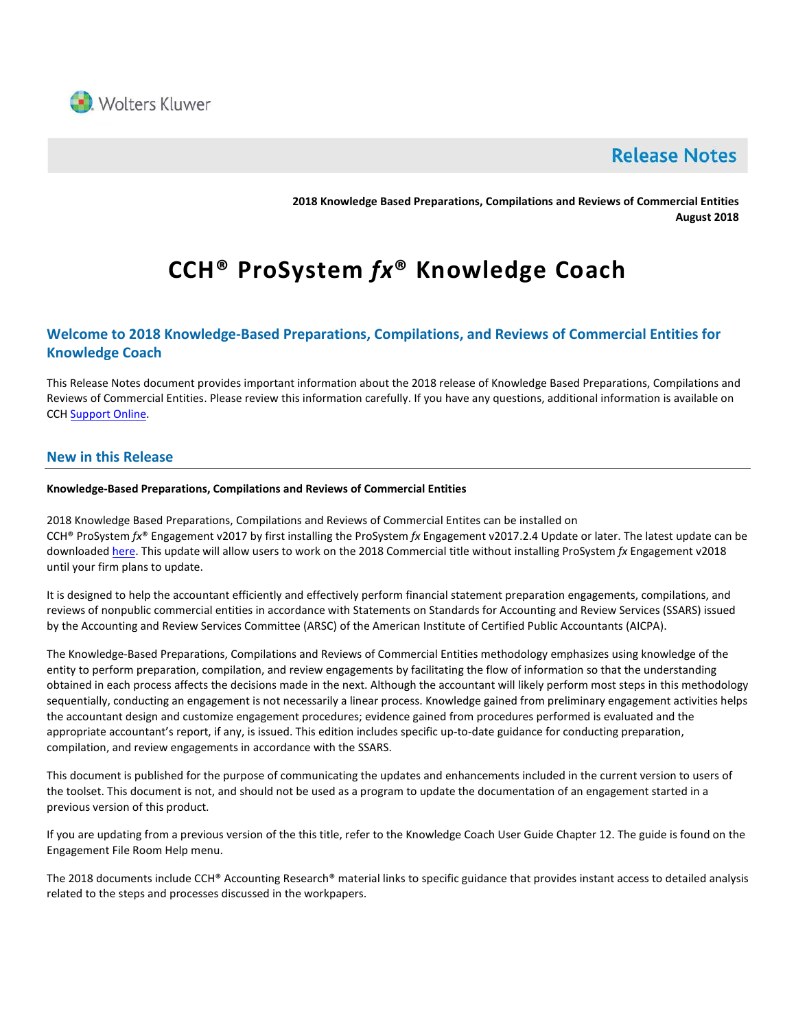

# **Release Notes**

**2018 Knowledge Based Preparations, Compilations and Reviews of Commercial Entities August 2018**

# **CCH® ProSystem** *fx***® Knowledge Coach**

# **Welcome to 2018 Knowledge-Based Preparations, Compilations, and Reviews of Commercial Entities for Knowledge Coach**

This Release Notes document provides important information about the 2018 release of Knowledge Based Preparations, Compilations and Reviews of Commercial Entities. Please review this information carefully. If you have any questions, additional information is available on CCH [Support Online.](http://support.cch.com/productsupport/)

# **New in this Release**

# **Knowledge-Based Preparations, Compilations and Reviews of Commercial Entities**

2018 Knowledge Based Preparations, Compilations and Reviews of Commercial Entites can be installed on CCH® ProSystem *fx*® Engagement v2017 by first installing the ProSystem *fx* Engagement v2017.2.4 Update or later. The latest update can be downloade[d here.](https://support.cch.com/updates/Engagement/release2017/release2017.aspx) This update will allow users to work on the 2018 Commercial title without installing ProSystem *fx* Engagement v2018 until your firm plans to update.

It is designed to help the accountant efficiently and effectively perform financial statement preparation engagements, compilations, and reviews of nonpublic commercial entities in accordance with Statements on Standards for Accounting and Review Services (SSARS) issued by the Accounting and Review Services Committee (ARSC) of the American Institute of Certified Public Accountants (AICPA).

The Knowledge-Based Preparations, Compilations and Reviews of Commercial Entities methodology emphasizes using knowledge of the entity to perform preparation, compilation, and review engagements by facilitating the flow of information so that the understanding obtained in each process affects the decisions made in the next. Although the accountant will likely perform most steps in this methodology sequentially, conducting an engagement is not necessarily a linear process. Knowledge gained from preliminary engagement activities helps the accountant design and customize engagement procedures; evidence gained from procedures performed is evaluated and the appropriate accountant's report, if any, is issued. This edition includes specific up-to-date guidance for conducting preparation, compilation, and review engagements in accordance with the SSARS.

This document is published for the purpose of communicating the updates and enhancements included in the current version to users of the toolset. This document is not, and should not be used as a program to update the documentation of an engagement started in a previous version of this product.

If you are updating from a previous version of the this title, refer to the Knowledge Coach User Guide Chapter 12. The guide is found on the Engagement File Room Help menu.

The 2018 documents include CCH® Accounting Research® material links to specific guidance that provides instant access to detailed analysis related to the steps and processes discussed in the workpapers.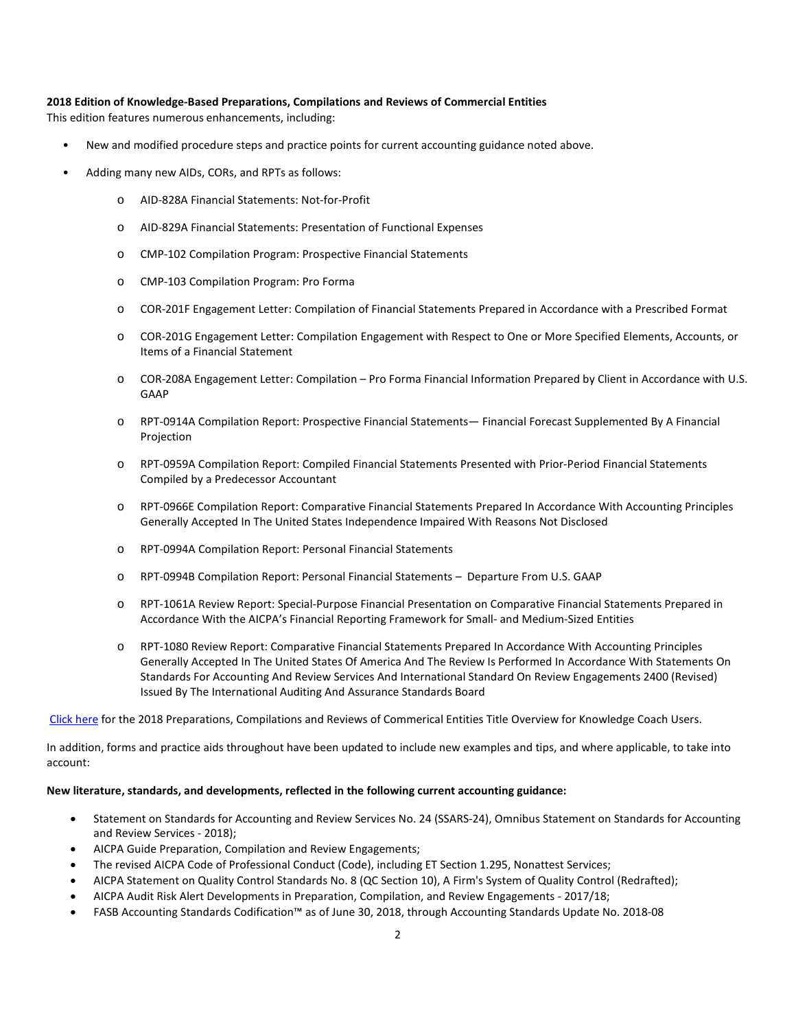## **2018 Edition of Knowledge-Based Preparations, Compilations and Reviews of Commercial Entities**

This edition features numerous enhancements, including:

- New and modified procedure steps and practice points for current accounting guidance noted above.
- Adding many new AIDs, CORs, and RPTs as follows:
	- o AID-828A Financial Statements: Not-for-Profit
	- o AID-829A Financial Statements: Presentation of Functional Expenses
	- o CMP-102 Compilation Program: Prospective Financial Statements
	- o CMP-103 Compilation Program: Pro Forma
	- o COR-201F Engagement Letter: Compilation of Financial Statements Prepared in Accordance with a Prescribed Format
	- o COR-201G Engagement Letter: Compilation Engagement with Respect to One or More Specified Elements, Accounts, or Items of a Financial Statement
	- o COR-208A Engagement Letter: Compilation Pro Forma Financial Information Prepared by Client in Accordance with U.S. GAAP
	- o RPT-0914A Compilation Report: Prospective Financial Statements— Financial Forecast Supplemented By A Financial Projection
	- o RPT-0959A Compilation Report: Compiled Financial Statements Presented with Prior-Period Financial Statements Compiled by a Predecessor Accountant
	- o RPT-0966E Compilation Report: Comparative Financial Statements Prepared In Accordance With Accounting Principles Generally Accepted In The United States Independence Impaired With Reasons Not Disclosed
	- o RPT-0994A Compilation Report: Personal Financial Statements
	- o RPT-0994B Compilation Report: Personal Financial Statements Departure From U.S. GAAP
	- o RPT-1061A Review Report: Special-Purpose Financial Presentation on Comparative Financial Statements Prepared in Accordance With the AICPA's Financial Reporting Framework for Small- and Medium-Sized Entities
	- o RPT-1080 Review Report: Comparative Financial Statements Prepared In Accordance With Accounting Principles Generally Accepted In The United States Of America And The Review Is Performed In Accordance With Statements On Standards For Accounting And Review Services And International Standard On Review Engagements 2400 (Revised) Issued By The International Auditing And Assurance Standards Board

[Click here](http://support.cch.com/updates/KnowledgeCoach/pdf/guides_tab/2018%20COM%20PCR%20Title%20Overview%20for%20Knowledge%20Coach%20Users.pdf) for the 2018 Preparations, Compilations and Reviews of Commerical Entities Title Overview for Knowledge Coach Users.

In addition, forms and practice aids throughout have been updated to include new examples and tips, and where applicable, to take into account:

## **New literature, standards, and developments, reflected in the following current accounting guidance:**

- Statement on Standards for Accounting and Review Services No. 24 (SSARS-24), Omnibus Statement on Standards for Accounting and Review Services - 2018);
- AICPA Guide Preparation, Compilation and Review Engagements;
- The revised AICPA Code of Professional Conduct (Code), including ET Section 1.295, Nonattest Services;
- AICPA Statement on Quality Control Standards No. 8 (QC Section 10), A Firm's System of Quality Control (Redrafted);
- AICPA Audit Risk Alert Developments in Preparation, Compilation, and Review Engagements 2017/18;
- FASB Accounting Standards Codification™ as of June 30, 2018, through Accounting Standards Update No. 2018-08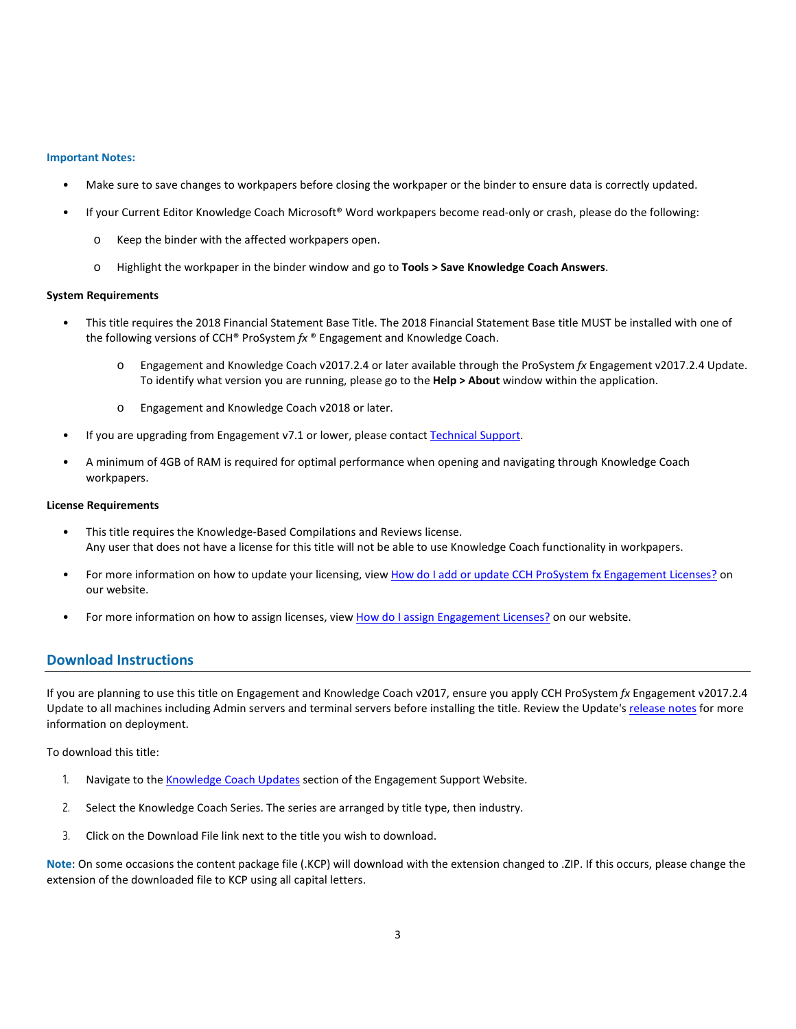#### **Important Notes:**

- Make sure to save changes to workpapers before closing the workpaper or the binder to ensure data is correctly updated.
- If your Current Editor Knowledge Coach Microsoft® Word workpapers become read-only or crash, please do the following:
	- o Keep the binder with the affected workpapers open.
	- o Highlight the workpaper in the binder window and go to **Tools > Save Knowledge Coach Answers**.

#### **System Requirements**

- This title requires the 2018 Financial Statement Base Title. The 2018 Financial Statement Base title MUST be installed with one of the following versions of CCH® ProSystem *fx* ® Engagement and Knowledge Coach.
	- o Engagement and Knowledge Coach v2017.2.4 or later available through the ProSystem *fx* Engagement v2017.2.4 Update. To identify what version you are running, please go to the **Help > About** window within the application.
	- o Engagement and Knowledge Coach v2018 or later.
- If you are upgrading from Engagement v7.1 or lower, please contact [Technical Support.](https://support.cch.com/contact)
- A minimum of 4GB of RAM is required for optimal performance when opening and navigating through Knowledge Coach workpapers.

#### **License Requirements**

- This title requires the Knowledge-Based Compilations and Reviews license. Any user that does not have a license for this title will not be able to use Knowledge Coach functionality in workpapers.
- For more information on how to update your licensing, view [How do I add or update CCH ProSystem fx Engagement Licenses?](https://support.cch.com/kb/solution.aspx/sw3937) on our website.
- For more information on how to assign licenses, view [How do I assign Engagement Licenses?](https://support.cch.com/kb/solution.aspx/sw3943) on our website.

# **Download Instructions**

If you are planning to use this title on Engagement and Knowledge Coach v2017, ensure you apply CCH ProSystem *fx* Engagement v2017.2.4 Update to all machines including Admin servers and terminal servers before installing the title. Review the Update'[s release notes](https://d2iceilwdglxpz.cloudfront.net/release_notes/CCH%20ProSystem%20fx%20Engagement%20Release%20Notes%202017.2.4.pdf) for more information on deployment.

To download this title:

- 1. Navigate to the [Knowledge Coach Updates](http://support.cch.com/updates/KnowledgeCoach) section of the Engagement Support Website.
- 2. Select the Knowledge Coach Series. The series are arranged by title type, then industry.
- 3. Click on the Download File link next to the title you wish to download.

**Note**: On some occasions the content package file (.KCP) will download with the extension changed to .ZIP. If this occurs, please change the extension of the downloaded file to KCP using all capital letters.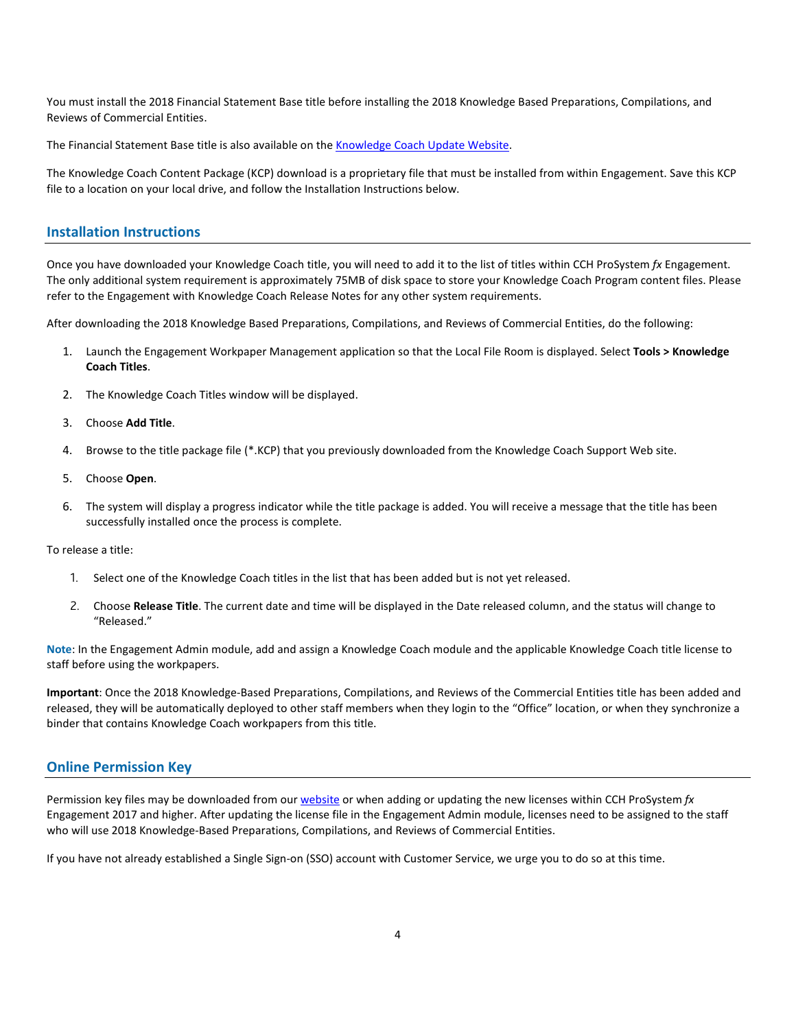You must install the 2018 Financial Statement Base title before installing the 2018 Knowledge Based Preparations, Compilations, and Reviews of Commercial Entities.

The Financial Statement Base title is also available on th[e Knowledge Coach Update Website.](http://support.cch.com/updates/KnowledgeCoach)

The Knowledge Coach Content Package (KCP) download is a proprietary file that must be installed from within Engagement. Save this KCP file to a location on your local drive, and follow the Installation Instructions below.

# **Installation Instructions**

Once you have downloaded your Knowledge Coach title, you will need to add it to the list of titles within CCH ProSystem *fx* Engagement. The only additional system requirement is approximately 75MB of disk space to store your Knowledge Coach Program content files. Please refer to the Engagement with Knowledge Coach Release Notes for any other system requirements.

After downloading the 2018 Knowledge Based Preparations, Compilations, and Reviews of Commercial Entities, do the following:

- 1. Launch the Engagement Workpaper Management application so that the Local File Room is displayed. Select **Tools > Knowledge Coach Titles**.
- 2. The Knowledge Coach Titles window will be displayed.
- 3. Choose **Add Title**.
- 4. Browse to the title package file (\*.KCP) that you previously downloaded from the Knowledge Coach Support Web site.
- 5. Choose **Open**.
- 6. The system will display a progress indicator while the title package is added. You will receive a message that the title has been successfully installed once the process is complete.

To release a title:

- 1. Select one of the Knowledge Coach titles in the list that has been added but is not yet released.
- 2. Choose **Release Title**. The current date and time will be displayed in the Date released column, and the status will change to "Released."

**Note**: In the Engagement Admin module, add and assign a Knowledge Coach module and the applicable Knowledge Coach title license to staff before using the workpapers.

**Important**: Once the 2018 Knowledge-Based Preparations, Compilations, and Reviews of the Commercial Entities title has been added and released, they will be automatically deployed to other staff members when they login to the "Office" location, or when they synchronize a binder that contains Knowledge Coach workpapers from this title.

# **Online Permission Key**

Permission key files may be downloaded from ou[r website](https://prosystemfxsupport.tax.cchgroup.com/permkey/download.aspx) or when adding or updating the new licenses within CCH ProSystem *fx* Engagement 2017 and higher. After updating the license file in the Engagement Admin module, licenses need to be assigned to the staff who will use 2018 Knowledge-Based Preparations, Compilations, and Reviews of Commercial Entities.

If you have not already established a Single Sign-on (SSO) account with Customer Service, we urge you to do so at this time.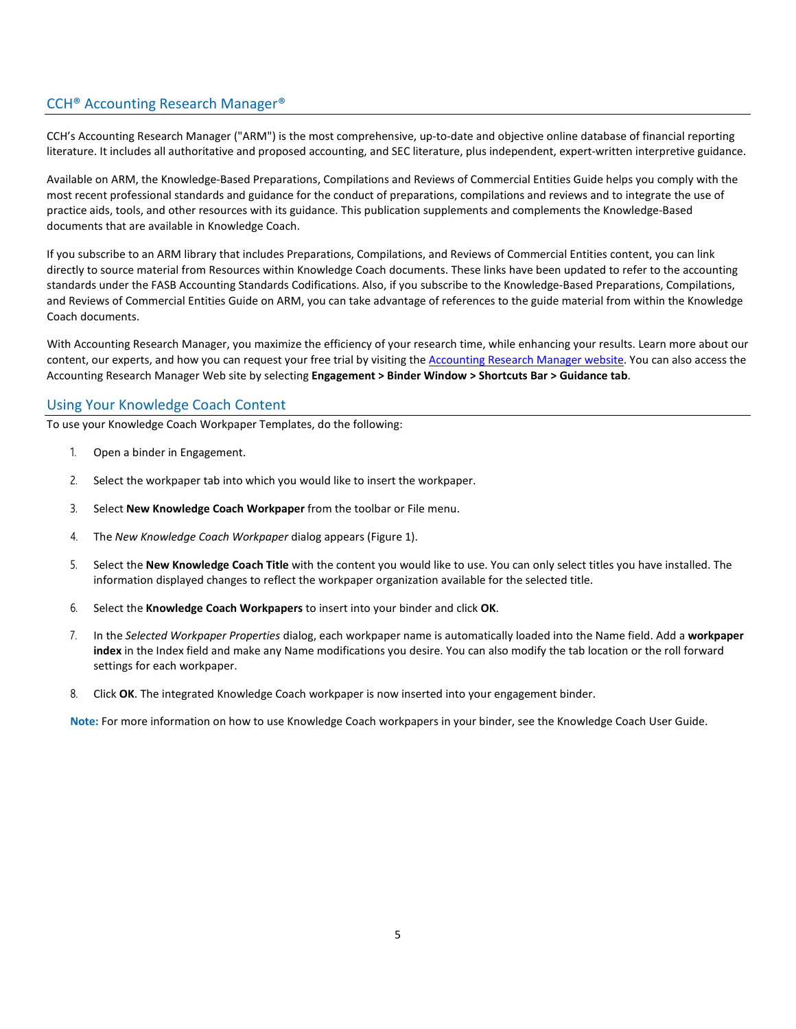# CCH® Accounting Research Manager®

CCH's Accounting Research Manager ("ARM") is the most comprehensive, up-to-date and objective online database of financial reporting literature. It includes all authoritative and proposed accounting, and SEC literature, plus independent, expert-written interpretive guidance.

Available on ARM, the Knowledge-Based Preparations, Compilations and Reviews of Commercial Entities Guide helps you comply with the most recent professional standards and guidance for the conduct of preparations, compilations and reviews and to integrate the use of practice aids, tools, and other resources with its guidance. This publication supplements and complements the Knowledge-Based documents that are available in Knowledge Coach.

If you subscribe to an ARM library that includes Preparations, Compilations, and Reviews of Commercial Entities content, you can link directly to source material from Resources within Knowledge Coach documents. These links have been updated to refer to the accounting standards under the FASB Accounting Standards Codifications. Also, if you subscribe to the Knowledge-Based Preparations, Compilations, and Reviews of Commercial Entities Guide on ARM, you can take advantage of references to the guide material from within the Knowledge Coach documents.

With Accounting Research Manager, you maximize the efficiency of your research time, while enhancing your results. Learn more about our content, our experts, and how you can request your free trial by visiting the [Accounting Research Manager website.](http://www.accountingresearchmanager.com/) You can also access the Accounting Research Manager Web site by selecting **Engagement > Binder Window > Shortcuts Bar > Guidance tab**.

# Using Your Knowledge Coach Content

To use your Knowledge Coach Workpaper Templates, do the following:

- 1. Open a binder in Engagement.
- 2. Select the workpaper tab into which you would like to insert the workpaper.
- 3. Select **New Knowledge Coach Workpaper** from the toolbar or File menu.
- 4. The *New Knowledge Coach Workpaper* dialog appears (Figure 1).
- 5. Select the **New Knowledge Coach Title** with the content you would like to use. You can only select titles you have installed. The information displayed changes to reflect the workpaper organization available for the selected title.
- 6. Select the **Knowledge Coach Workpapers** to insert into your binder and click **OK**.
- 7. In the *Selected Workpaper Properties* dialog, each workpaper name is automatically loaded into the Name field. Add a **workpaper index** in the Index field and make any Name modifications you desire. You can also modify the tab location or the roll forward settings for each workpaper.
- 8. Click **OK**. The integrated Knowledge Coach workpaper is now inserted into your engagement binder.

**Note:** For more information on how to use Knowledge Coach workpapers in your binder, see the Knowledge Coach User Guide.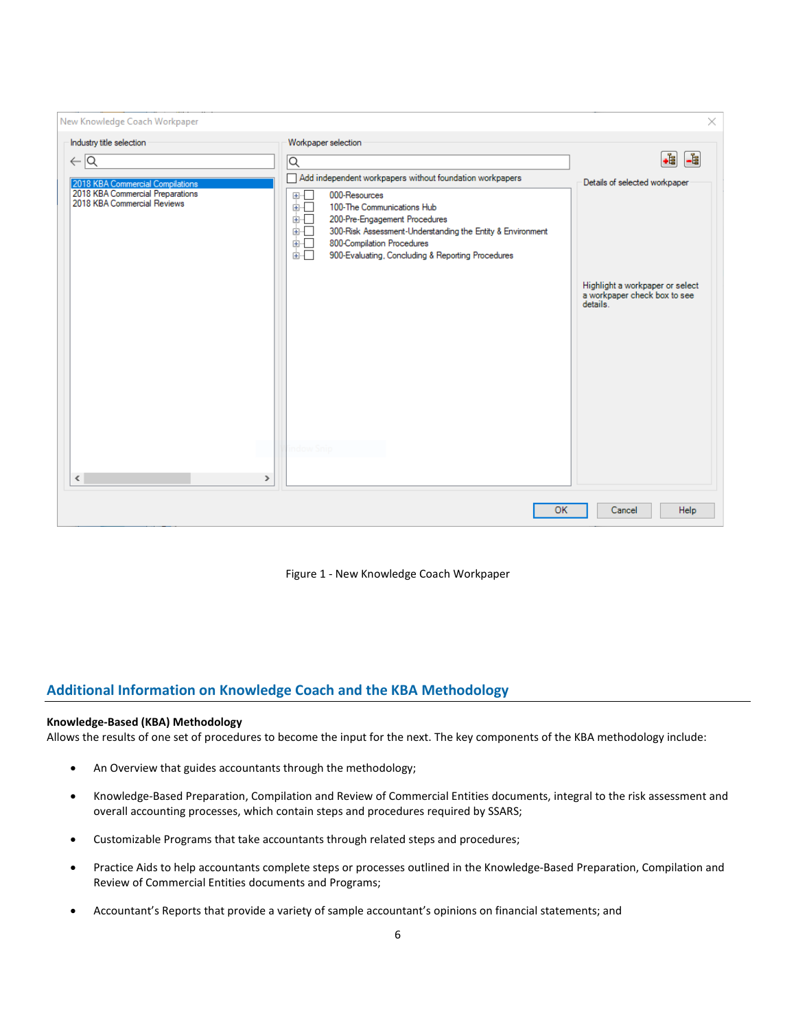| New Knowledge Coach Workpaper                                                                                                                                |                                                                                                                                                                                                                                                                                                                                                   | ×                                                                                                            |
|--------------------------------------------------------------------------------------------------------------------------------------------------------------|---------------------------------------------------------------------------------------------------------------------------------------------------------------------------------------------------------------------------------------------------------------------------------------------------------------------------------------------------|--------------------------------------------------------------------------------------------------------------|
| Industry title selection                                                                                                                                     | Workpaper selection                                                                                                                                                                                                                                                                                                                               | .ł<br>$\mathbf{E}$                                                                                           |
| $\leftarrow$ $\overline{Q}$<br>2018 KBA Commercial Compilations<br>2018 KBA Commercial Preparations<br>2018 KBA Commercial Reviews<br>$\,<$<br>$\rightarrow$ | ⊺Q<br>Add independent workpapers without foundation workpapers<br>⊕-⊡<br>000-Resources<br>面板<br>100-The Communications Hub<br>面目<br>200-Pre-Engagement Procedures<br>ė⊡<br>300-Risk Assessment-Understanding the Entity & Environment<br>ėĐ<br>800-Compilation Procedures<br>面示<br>900-Evaluating, Concluding & Reporting Procedures<br>ndow Snic | Details of selected workpaper<br>Highlight a workpaper or select<br>a workpaper check box to see<br>details. |
|                                                                                                                                                              | OK                                                                                                                                                                                                                                                                                                                                                | Cancel<br>Help                                                                                               |

Figure 1 - New Knowledge Coach Workpaper

# **Additional Information on Knowledge Coach and the KBA Methodology**

# **Knowledge-Based (KBA) Methodology**

Allows the results of one set of procedures to become the input for the next. The key components of the KBA methodology include:

- An Overview that guides accountants through the methodology;
- Knowledge-Based Preparation, Compilation and Review of Commercial Entities documents, integral to the risk assessment and overall accounting processes, which contain steps and procedures required by SSARS;
- Customizable Programs that take accountants through related steps and procedures;
- Practice Aids to help accountants complete steps or processes outlined in the Knowledge-Based Preparation, Compilation and Review of Commercial Entities documents and Programs;
- Accountant's Reports that provide a variety of sample accountant's opinions on financial statements; and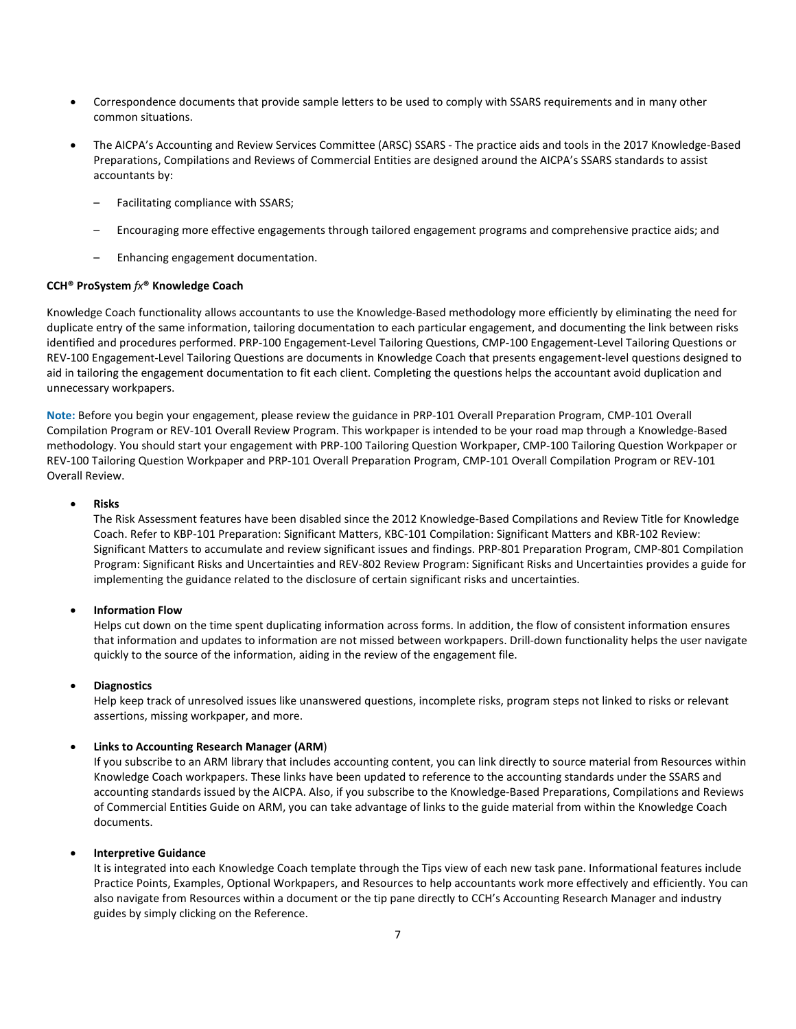- Correspondence documents that provide sample letters to be used to comply with SSARS requirements and in many other common situations.
- The AICPA's Accounting and Review Services Committee (ARSC) SSARS The practice aids and tools in the 2017 Knowledge-Based Preparations, Compilations and Reviews of Commercial Entities are designed around the AICPA's SSARS standards to assist accountants by:
	- Facilitating compliance with SSARS;
	- Encouraging more effective engagements through tailored engagement programs and comprehensive practice aids; and
	- Enhancing engagement documentation.

#### **CCH® ProSystem** *fx***® Knowledge Coach**

Knowledge Coach functionality allows accountants to use the Knowledge-Based methodology more efficiently by eliminating the need for duplicate entry of the same information, tailoring documentation to each particular engagement, and documenting the link between risks identified and procedures performed. PRP-100 Engagement-Level Tailoring Questions, CMP-100 Engagement-Level Tailoring Questions or REV-100 Engagement-Level Tailoring Questions are documents in Knowledge Coach that presents engagement-level questions designed to aid in tailoring the engagement documentation to fit each client. Completing the questions helps the accountant avoid duplication and unnecessary workpapers.

**Note:** Before you begin your engagement, please review the guidance in PRP-101 Overall Preparation Program, CMP-101 Overall Compilation Program or REV-101 Overall Review Program. This workpaper is intended to be your road map through a Knowledge-Based methodology. You should start your engagement with PRP-100 Tailoring Question Workpaper, CMP-100 Tailoring Question Workpaper or REV-100 Tailoring Question Workpaper and PRP-101 Overall Preparation Program, CMP-101 Overall Compilation Program or REV-101 Overall Review.

#### • **Risks**

The Risk Assessment features have been disabled since the 2012 Knowledge-Based Compilations and Review Title for Knowledge Coach. Refer to KBP-101 Preparation: Significant Matters, KBC-101 Compilation: Significant Matters and KBR-102 Review: Significant Matters to accumulate and review significant issues and findings. PRP-801 Preparation Program, CMP-801 Compilation Program: Significant Risks and Uncertainties and REV-802 Review Program: Significant Risks and Uncertainties provides a guide for implementing the guidance related to the disclosure of certain significant risks and uncertainties.

#### • **Information Flow**

Helps cut down on the time spent duplicating information across forms. In addition, the flow of consistent information ensures that information and updates to information are not missed between workpapers. Drill-down functionality helps the user navigate quickly to the source of the information, aiding in the review of the engagement file.

#### • **Diagnostics**

Help keep track of unresolved issues like unanswered questions, incomplete risks, program steps not linked to risks or relevant assertions, missing workpaper, and more.

#### • **Links to Accounting Research Manager (ARM**)

If you subscribe to an ARM library that includes accounting content, you can link directly to source material from Resources within Knowledge Coach workpapers. These links have been updated to reference to the accounting standards under the SSARS and accounting standards issued by the AICPA. Also, if you subscribe to the Knowledge-Based Preparations, Compilations and Reviews of Commercial Entities Guide on ARM, you can take advantage of links to the guide material from within the Knowledge Coach documents.

#### • **Interpretive Guidance**

It is integrated into each Knowledge Coach template through the Tips view of each new task pane. Informational features include Practice Points, Examples, Optional Workpapers, and Resources to help accountants work more effectively and efficiently. You can also navigate from Resources within a document or the tip pane directly to CCH's Accounting Research Manager and industry guides by simply clicking on the Reference.